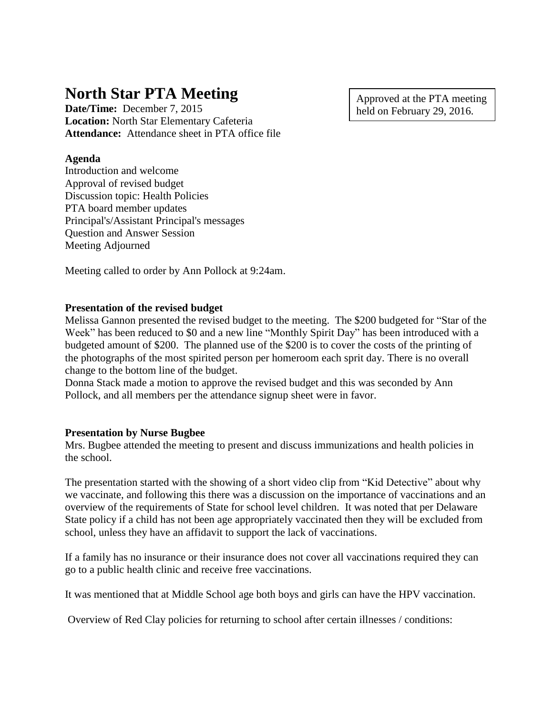# **North Star PTA Meeting**

**Date/Time:** December 7, 2015 **Location:** North Star Elementary Cafeteria **Attendance:** Attendance sheet in PTA office file

#### **Agenda**

Introduction and welcome Approval of revised budget Discussion topic: Health Policies PTA board member updates Principal's/Assistant Principal's messages Question and Answer Session Meeting Adjourned

Meeting called to order by Ann Pollock at 9:24am.

## **Presentation of the revised budget**

Melissa Gannon presented the revised budget to the meeting. The \$200 budgeted for "Star of the Week" has been reduced to \$0 and a new line "Monthly Spirit Day" has been introduced with a budgeted amount of \$200. The planned use of the \$200 is to cover the costs of the printing of the photographs of the most spirited person per homeroom each sprit day. There is no overall change to the bottom line of the budget.

Donna Stack made a motion to approve the revised budget and this was seconded by Ann Pollock, and all members per the attendance signup sheet were in favor.

#### **Presentation by Nurse Bugbee**

Mrs. Bugbee attended the meeting to present and discuss immunizations and health policies in the school.

The presentation started with the showing of a short video clip from "Kid Detective" about why we vaccinate, and following this there was a discussion on the importance of vaccinations and an overview of the requirements of State for school level children. It was noted that per Delaware State policy if a child has not been age appropriately vaccinated then they will be excluded from school, unless they have an affidavit to support the lack of vaccinations.

If a family has no insurance or their insurance does not cover all vaccinations required they can go to a public health clinic and receive free vaccinations.

It was mentioned that at Middle School age both boys and girls can have the HPV vaccination.

Overview of Red Clay policies for returning to school after certain illnesses / conditions:

Approved at the PTA meeting held on February 29, 2016.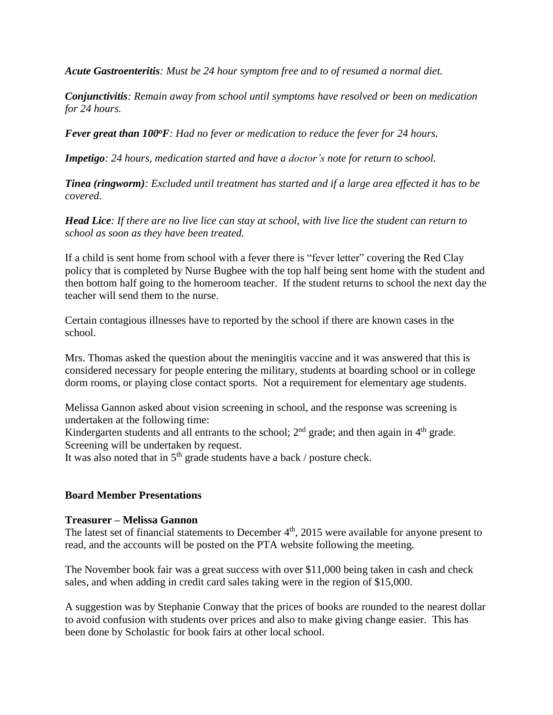*Acute Gastroenteritis: Must be 24 hour symptom free and to of resumed a normal diet.*

*Conjunctivitis: Remain away from school until symptoms have resolved or been on medication for 24 hours.*

*Fever great than 100<sup>o</sup>F: Had no fever or medication to reduce the fever for 24 hours.*

*Impetigo: 24 hours, medication started and have a doctor's note for return to school.*

*Tinea (ringworm): Excluded until treatment has started and if a large area effected it has to be covered.*

Head Lice: If there are no live lice can stay at school, with live lice the student can return to *school as soon as they have been treated.*

If a child is sent home from school with a fever there is "fever letter" covering the Red Clay policy that is completed by Nurse Bugbee with the top half being sent home with the student and then bottom half going to the homeroom teacher. If the student returns to school the next day the teacher will send them to the nurse.

Certain contagious illnesses have to reported by the school if there are known cases in the school.

Mrs. Thomas asked the question about the meningitis vaccine and it was answered that this is considered necessary for people entering the military, students at boarding school or in college dorm rooms, or playing close contact sports. Not a requirement for elementary age students.

Melissa Gannon asked about vision screening in school, and the response was screening is undertaken at the following time:

Kindergarten students and all entrants to the school;  $2<sup>nd</sup>$  grade; and then again in  $4<sup>th</sup>$  grade. Screening will be undertaken by request.

It was also noted that in  $5<sup>th</sup>$  grade students have a back / posture check.

#### **Board Member Presentations**

#### **Treasurer – Melissa Gannon**

The latest set of financial statements to December  $4<sup>th</sup>$ , 2015 were available for anyone present to read, and the accounts will be posted on the PTA website following the meeting.

The November book fair was a great success with over \$11,000 being taken in cash and check sales, and when adding in credit card sales taking were in the region of \$15,000.

A suggestion was by Stephanie Conway that the prices of books are rounded to the nearest dollar to avoid confusion with students over prices and also to make giving change easier. This has been done by Scholastic for book fairs at other local school.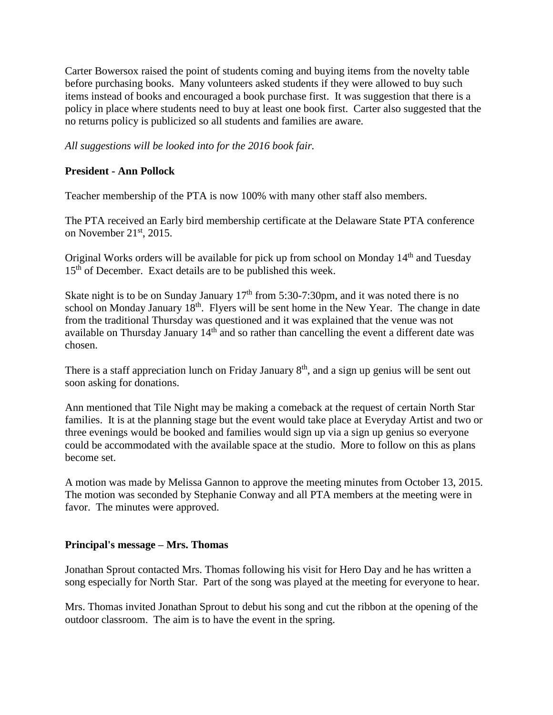Carter Bowersox raised the point of students coming and buying items from the novelty table before purchasing books. Many volunteers asked students if they were allowed to buy such items instead of books and encouraged a book purchase first. It was suggestion that there is a policy in place where students need to buy at least one book first. Carter also suggested that the no returns policy is publicized so all students and families are aware.

*All suggestions will be looked into for the 2016 book fair.*

# **President - Ann Pollock**

Teacher membership of the PTA is now 100% with many other staff also members.

The PTA received an Early bird membership certificate at the Delaware State PTA conference on November  $21<sup>st</sup>$ , 2015.

Original Works orders will be available for pick up from school on Monday 14th and Tuesday 15<sup>th</sup> of December. Exact details are to be published this week.

Skate night is to be on Sunday January  $17<sup>th</sup>$  from 5:30-7:30pm, and it was noted there is no school on Monday January 18<sup>th</sup>. Flyers will be sent home in the New Year. The change in date from the traditional Thursday was questioned and it was explained that the venue was not available on Thursday January 14<sup>th</sup> and so rather than cancelling the event a different date was chosen.

There is a staff appreciation lunch on Friday January 8<sup>th</sup>, and a sign up genius will be sent out soon asking for donations.

Ann mentioned that Tile Night may be making a comeback at the request of certain North Star families. It is at the planning stage but the event would take place at Everyday Artist and two or three evenings would be booked and families would sign up via a sign up genius so everyone could be accommodated with the available space at the studio. More to follow on this as plans become set.

A motion was made by Melissa Gannon to approve the meeting minutes from October 13, 2015. The motion was seconded by Stephanie Conway and all PTA members at the meeting were in favor. The minutes were approved.

#### **Principal's message – Mrs. Thomas**

Jonathan Sprout contacted Mrs. Thomas following his visit for Hero Day and he has written a song especially for North Star. Part of the song was played at the meeting for everyone to hear.

Mrs. Thomas invited Jonathan Sprout to debut his song and cut the ribbon at the opening of the outdoor classroom. The aim is to have the event in the spring.